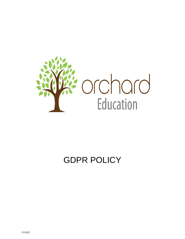

# GDPR POLICY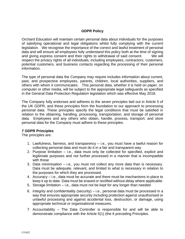# **GDPR Policy**

Orchard Education will maintain certain personal data about individuals for the purposes of satisfying operational and legal obligations whilst fully complying with the current legislation. We recognise the importance of the correct and lawful treatment of personal data and will ensure all employees fully understand this policy both at the time of signing and giving express consent and their rights to withdrawal of said consent. We will respect the privacy rights of all individuals, including employees, contractors, customers, potential customers, and business contacts regarding the processing of their personal information.

The type of personal data the Company may require includes information about current, past, and prospective employees, parents, children, local authorities, suppliers, and others with whom it communicates. This personal data, whether it is held on paper, on computer or other media, will be subject to the appropriate legal safeguards as specified in the General Data Protection Regulation legislation which was effective May 2018.

The Company fully endorses and adheres to the seven principles laid out in Article 5 of the UK GDPR, and these principles form the foundation to our approach to processing personal data. These principles specify the legal conditions that must be satisfied in relation to the obtaining, handling, processing, transportation, and storage of personal data. Employees and any others who obtain, handle, process, transport, and store personal data for the Company must adhere to these principles.

## **7 GDPR Principles**

The principles are:

- 1. Lawfulness, fairness, and transparency i.e., you must have a lawful reason for collecting personal data and must do it in a fair and transparent way
- 2. Purpose limitation i.e., data must only be collected for specified, explicit and legitimate purposes and not further processed in a manner that is incompatible with those
- 3. Data minimisation i.e., you must not collect any more data than is necessary. Data must be adequate, relevant, and limited to what is necessary in relation to the purposes for which they are processed.
- 4. Accuracy i.e., data must be accurate and there must be mechanisms in place to keep it up to date. Data must be erased or rectified without delay where applicable.
- 5. Storage limitation i.e., data must not be kept for any longer than needed
- 6. Integrity and confidentiality (security) i.e., personal data must be processed in a way that ensures appropriate security including protection against unauthorised or unlawful processing and against accidental loss, destruction, or damage, using appropriate technical or organisational measures.
- 7. Accountability The Data Controller is responsible for and will be able to demonstrate compliance with the Article 5(1) (the 6 preceding Principles.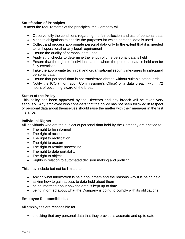### **Satisfaction of Principles**

To meet the requirements of the principles, the Company will:

- Observe fully the conditions regarding the fair collection and use of personal data
- Meet its obligations to specify the purposes for which personal data is used
- Collect and process appropriate personal data only to the extent that it is needed to fulfil operational or any legal requirement
- Ensure the quality of personal data used
- Apply strict checks to determine the length of time personal data is held
- Ensure that the rights of individuals about whom the personal data is held can be fully exercised
- Take the appropriate technical and organisational security measures to safeguard personal data
- Ensure that personal data is not transferred abroad without suitable safeguards
- Notify the ICO (Information Commissioner's Office) of a data breach within 72 hours of becoming aware of the breach

#### **Status of the Policy**

This policy has been approved by the Directors and any breach will be taken very seriously. Any employee who considers that the policy has not been followed in respect of personal data about themselves should raise the matter with their manager in the first instance.

#### **Individual Rights**

All individuals who are the subject of personal data held by the Company are entitled to:

- The right to be informed
- The right of access
- The right to rectification
- The right to erasure
- The right to restrict processing
- The right to data portability
- The right to object
- Rights in relation to automated decision making and profiling.

This may include but not be limited to:

- Asking what information is held about them and the reasons why it is being held
- asking how to gain access to data held about them
- being informed about how the data is kept up to date
- being informed about what the Company is doing to comply with its obligations

#### **Employee Responsibilities**

All employees are responsible for:

• checking that any personal data that they provide is accurate and up to date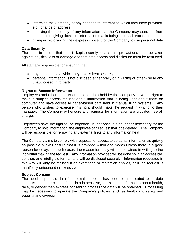- informing the Company of any changes to information which they have provided, e.g., change of address
- checking the accuracy of any information that the Company may send out from time to time, giving details of information that is being kept and processed
- giving or withdrawing their express consent for the Company to use personal data

#### **Data Security**

The need to ensure that data is kept securely means that precautions must be taken against physical loss or damage and that both access and disclosure must be restricted.

All staff are responsible for ensuring that:

- any personal data which they hold is kept securely
- personal information is not disclosed either orally or in writing or otherwise to any unauthorised third party

#### **Rights to Access Information**

Employees and other subjects of personal data held by the Company have the right to make a subject access request about information that is being kept about them on computer and have access to paper-based data held in manual filing systems. Any person who wishes to exercise this right should make the request in writing to their manager. The Company will ensure any requests for information are provided free-ofcharge.

Employees have the right to "be forgotten" in that once it is no longer necessary for the Company to hold information, the employee can request that it be deleted. The Company will be responsible for removing any external links to any information held.

The Company aims to comply with requests for access to personal information as quickly as possible but will ensure that it is provided within one month unless there is a good reason for delay. In such cases, the reason for delay will be explained in writing to the individual making the request. Any information provided will be done so in an accessible, concise, and intelligible format, and will be disclosed securely. Information requested in this way will only be refused if an exemption or restriction applies, or if the request is manifestly unfounded or excessive.

#### **Subject Consent**

The need to process data for normal purposes has been communicated to all data subjects. In some cases, if the data is sensitive, for example information about health, race, or gender then express consent to process the data will be obtained. Processing may be necessary to operate the Company's policies, such as health and safety and equality and diversity.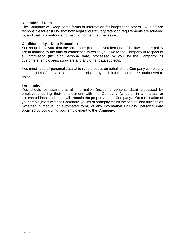#### **Retention of Data**

The Company will keep some forms of information for longer than others. All staff are responsible for ensuring that both legal and statutory retention requirements are adhered to, and that information is not kept for longer than necessary.

#### **Confidentiality – Data Protection**

You should be aware that the obligations placed on you because of the law and this policy are in addition to the duty of confidentiality which you owe to the Company in respect of all information (including personal data) processed by you; by the Company; its customers; employees; suppliers and any other data subjects.

You must keep all personal data which you process on behalf of the Company completely secret and confidential and must not disclose any such information unless authorised to do so.

#### **Termination**

You should be aware that all information (including personal data) processed by employees during their employment with the Company (whether in a manual or automated fashion) is, and will, remain the property of the Company. On termination of your employment with the Company, you must promptly return the original and any copies (whether in manual or automated form) of any information including personal data obtained by you during your employment to the Company.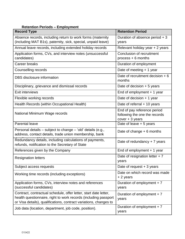# **Retention Periods – Employment**

| <b>Record Type</b>                                                                                                                                                                                       | <b>Retention Period</b>                                                           |  |  |
|----------------------------------------------------------------------------------------------------------------------------------------------------------------------------------------------------------|-----------------------------------------------------------------------------------|--|--|
| Absence records, including return to work forms (maternity<br>(including MAT B1s), paternity, sick, special, unpaid leave)                                                                               | Duration of absence period + 3<br>years                                           |  |  |
| Annual leave records, including extended holiday records                                                                                                                                                 | Relevant holiday year + 2 years                                                   |  |  |
| Application forms, CVs, and interview notes (unsuccessful<br>candidates)                                                                                                                                 | Conclusion of recruitment<br>process + 6 months                                   |  |  |
| Career breaks                                                                                                                                                                                            | Duration of employment                                                            |  |  |
| Counselling records                                                                                                                                                                                      | Date of meeting + 1 year                                                          |  |  |
| DBS disclosure information                                                                                                                                                                               | Date of recruitment decision $+ 6$<br>months                                      |  |  |
| Disciplinary, grievance and dismissal records                                                                                                                                                            | Date of decision $+5$ years                                                       |  |  |
| <b>Exit interviews</b>                                                                                                                                                                                   | End of employment $+1$ year                                                       |  |  |
| Flexible working records                                                                                                                                                                                 | Date of decision $+1$ year                                                        |  |  |
| Health Records (within Occupational Health)                                                                                                                                                              | Date of referral $+$ 10 years                                                     |  |  |
| National Minimum Wage records                                                                                                                                                                            | End of pay reference period<br>following the one the records<br>$cover + 3 years$ |  |  |
| <b>Parental leave</b>                                                                                                                                                                                    | Date of leave + 5 years                                                           |  |  |
| Personal details - subject to change - 'old' details (e.g.,<br>address, contact details, trade union membership, bank                                                                                    | Date of change $+6$ months                                                        |  |  |
| Redundancy details, including calculations of payments,<br>refunds, notification to the Secretary of State                                                                                               | Date of redundancy $+7$ years                                                     |  |  |
| References given by the Company                                                                                                                                                                          | End of employment $+1$ year                                                       |  |  |
| <b>Resignation letters</b>                                                                                                                                                                               | Date of resignation letter $+7$<br>years                                          |  |  |
| Subject access requests                                                                                                                                                                                  | Date of request $+3$ years                                                        |  |  |
| Working time records (including exceptions)                                                                                                                                                              | Date on which record was made<br>+ 2 years                                        |  |  |
| Application forms, CVs, interview notes and references<br>(successful candidates)                                                                                                                        | Duration of employment + 7<br>years                                               |  |  |
| Contract, contractual schedule, offer letter, start date letter,<br>health questionnaire, right to work records (including passport<br>or Visa details), qualifications, contract variations, changes to | Duration of employment + 7<br>years                                               |  |  |
| Job data (location, department, job code, position).                                                                                                                                                     | Duration of employment $+7$<br>years                                              |  |  |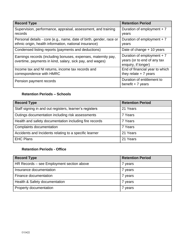| <b>Record Type</b>                                                                                                            | <b>Retention Period</b>                                                           |
|-------------------------------------------------------------------------------------------------------------------------------|-----------------------------------------------------------------------------------|
| Supervision, performance, appraisal, assessment, and training<br>records                                                      | Duration of employment $+7$<br>years                                              |
| Personal details - core (e.g., name, date of birth, gender, race or<br>ethnic origin, health information, national insurance) | Duration of employment $+7$<br>years                                              |
| Condensed listing reports (payments and deductions)                                                                           | Date of change $+10$ years                                                        |
| Earnings records (including bonuses, expenses, maternity pay,<br>overtime, payments in kind, salary, sick pay, and wages)     | Duration of employment $+7$<br>years (or to end of any tax<br>enquiry, if longer) |
| Income tax and NI returns, income tax records and<br>correspondence with HMRC                                                 | End of financial year to which<br>they relate $+7$ years                          |
| Pension payment records                                                                                                       | Duration of entitlement to<br>benefit $+7$ years                                  |

# **Retention Periods – Schools**

| <b>Record Type</b>                                      | <b>Retention Period</b> |
|---------------------------------------------------------|-------------------------|
| Staff signing in and out registers, learner's registers | 21 Years                |
| Outings documentation including risk assessments        | 7 Years                 |
| Health and safety documentation including fire records  | 7 Years                 |
| Complaints documentation                                | 7 Years                 |
| Accidents and Incidents relating to a specific learner  | 21 Years                |
| <b>EHC Plans</b>                                        | 21 Years                |

# **Retention Periods - Office**

| <b>Record Type</b>                        | <b>Retention Period</b> |
|-------------------------------------------|-------------------------|
| HR Records – see Employment section above | 7 years                 |
| Insurance documentation                   | years                   |
| Finance documentation                     | years                   |
| Health & Safety documentation             | 7 years                 |
| Property documentation                    | years                   |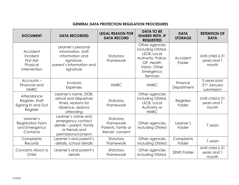# **GENERAL DATA PROTECTION REGULATION PROCEDURES**

| <b>DOCUMENT</b>                                                    | <b>LEGAL REASON FOR</b><br><b>DATA RECORDED</b><br><b>DATA RECORD</b>                                              |                                                                  | <b>DATA TO BE</b><br><b>SHARED WITH, IF</b><br><b>REQUESTED</b>                                                                   | <b>DATA</b><br><b>STORAGE</b> | <b>RETENTION OF</b><br><b>DATA</b>         |
|--------------------------------------------------------------------|--------------------------------------------------------------------------------------------------------------------|------------------------------------------------------------------|-----------------------------------------------------------------------------------------------------------------------------------|-------------------------------|--------------------------------------------|
| Accident<br>Incident<br>First Aid<br>Physical<br>Intervention      | Learner's personal<br>information, staff<br>information and<br>signature,<br>parent's information and<br>signature | Statutory<br>Framework                                           | Other agencies<br>including Ofsted,<br>LSCB, Local<br>Authority, Police,<br>GP, Health<br>Visitor, Other<br>Emergency<br>Services | Accident<br>Folder            | Until child is 21<br>years and 1<br>month  |
| $Accounds -$<br>Financial and<br><b>HMRC</b>                       | <b>Invoices</b><br>Expenses                                                                                        | <b>HMRC</b><br><b>HMRC</b>                                       |                                                                                                                                   | Finance<br>Department         | 5 years post<br>31st January<br>submission |
| Attendance<br>Register, Staff<br>Signing In and Out<br>Register    | Learner's name, DOB,<br>arrival and departure<br>times, reasons for<br>absence, sessions<br>attending              | Statutory<br>Framework                                           | Other agencies<br>including Ofsted,<br>LSCB, Local<br>Authority or<br><b>HMRC</b>                                                 | <b>Registers</b><br>Folder    | Until child is 21<br>years and 1<br>month  |
| Learner's<br><b>Registration Form</b><br>and Emergency<br>Contacts | Learner's name and<br>emergency contact<br>details - parent, family<br>or friends and<br>permissions/consent       | Statutory<br>Framework<br>Parents, family or<br>friends' consent | Other agencies<br>including Ofsted                                                                                                | Learner's<br>Folder           | 7 years                                    |
| Complaints<br>Records                                              | Learner's and parent's<br>details, school details                                                                  | Statutory<br>Framework                                           | Other agencies<br>including Ofsted                                                                                                | Complaints<br>Folder          | 7 years                                    |
| Concerns About a<br>Child                                          | Learner's and parent's<br>details                                                                                  | Statutory<br>Framework                                           | Other agencies<br>including Ofsted,                                                                                               | <b>SEND Folder</b>            | Until child is 21<br>years and 1<br>month  |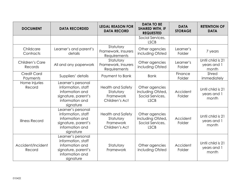| <b>DOCUMENT</b>                                                                                                                                                                                                                    | <b>DATA RECORDED</b>                                                                                               | <b>LEGAL REASON FOR</b><br><b>DATA RECORD</b>                        | <b>DATA TO BE</b><br><b>SHARED WITH, IF</b><br><b>REQUESTED</b>        | <b>DATA</b><br><b>STORAGE</b>             | <b>RETENTION OF</b><br><b>DATA</b>        |
|------------------------------------------------------------------------------------------------------------------------------------------------------------------------------------------------------------------------------------|--------------------------------------------------------------------------------------------------------------------|----------------------------------------------------------------------|------------------------------------------------------------------------|-------------------------------------------|-------------------------------------------|
|                                                                                                                                                                                                                                    |                                                                                                                    |                                                                      | Social Services,<br><b>LSCB</b>                                        |                                           |                                           |
| Childcare<br>Contracts                                                                                                                                                                                                             | Learner's and parent's<br>details                                                                                  | Statutory<br>Framework, Insurers<br>Requirements                     | Other agencies<br>including Ofsted                                     | Learner's<br>Folder                       | 7 years                                   |
| Children's Care<br>Records                                                                                                                                                                                                         | All and any paperwork                                                                                              | Statutory<br>Framework, Insurers<br>Requirements                     | Other agencies<br>including Ofsted                                     |                                           | Until child is 21<br>years and 1<br>month |
| <b>Credit Card</b><br>Payments                                                                                                                                                                                                     | Suppliers' details                                                                                                 | Payment to Bank                                                      | <b>Bank</b>                                                            | Finance<br>Folder                         | Shred<br>immediately                      |
| Home Injuries<br>Record                                                                                                                                                                                                            | Learner's personal<br>information, staff<br>information and<br>signature, parent's<br>information and<br>signature | <b>Health and Safety</b><br>Statutory<br>Framework<br>Children's Act | Other agencies<br>including Ofsted,<br>Social Services,<br><b>LSCB</b> | Accident<br>Folder                        | Until child is 21<br>years and 1<br>month |
| Learner's personal<br>information, staff<br><b>Health and Safety</b><br>information and<br>Statutory<br><b>Illness Record</b><br>Framework<br>signature, parent's<br>information and<br>Children's Act<br><b>LSCB</b><br>signature |                                                                                                                    | Other agencies<br>including Ofsted,<br>Social Services,              | Accident<br>Folder                                                     | Until child is 21<br>years and 1<br>month |                                           |
| Learner's personal<br>information, staff<br>Accident/Incident<br>information and<br>Statutory<br>Framework<br>signature, parent's<br>Record<br>information and<br>signature                                                        |                                                                                                                    | Other agencies<br>including Ofsted                                   | Accident<br>Folder                                                     | Until child is 21<br>years and 1<br>month |                                           |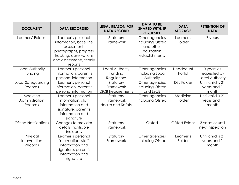| <b>DOCUMENT</b>                                                                        | <b>DATA RECORDED</b>                                                                                                                                 | <b>LEGAL REASON FOR</b><br><b>DATA RECORD</b>      | <b>DATA TO BE</b><br><b>SHARED WITH, IF</b><br><b>REQUESTED</b>                | <b>DATA</b><br><b>STORAGE</b> | <b>RETENTION OF</b><br><b>DATA</b>            |
|----------------------------------------------------------------------------------------|------------------------------------------------------------------------------------------------------------------------------------------------------|----------------------------------------------------|--------------------------------------------------------------------------------|-------------------------------|-----------------------------------------------|
| Learners' Folders                                                                      | Learner's personal<br>information, base line<br>assessment,<br>photographs, progress<br>tracking, observations<br>and assessments, termly<br>reports |                                                    | Other agencies<br>including Ofsted<br>and other<br>education<br>establishments | Learner's<br>Folder           | 7 years                                       |
| Local Authority<br>Funding                                                             | Learner's personal<br>Local Authority<br>information, parent's<br>personal information                                                               |                                                    | Other agencies<br>including Local<br>Authority                                 | Headcount<br>Portal           | 3 years as<br>requested by<br>Local Authority |
| Local Safeguarding<br>Records                                                          | Learner's personal<br>information, parent's<br>personal information                                                                                  | Statutory<br>Framework<br><b>LSCB Requirements</b> | Other agencies<br>including Ofsted<br>and LSCB                                 | <b>DSL Folder</b>             | Until child is 21<br>years and 1<br>month     |
| Medicine<br>Administration<br>Records                                                  | Learner's personal<br>information, staff<br>information and<br>signature, parent's<br>information and<br>signature                                   | Statutory<br>Framework<br><b>Health and Safety</b> | Other agencies<br>including Ofsted                                             | Medicine<br>Folder            | Until child is 21<br>years and 1<br>month     |
| <b>Ofsted Notifications</b><br>Changes to provider<br>details, notifiable<br>incidents |                                                                                                                                                      | Statutory<br>Framework                             | Ofsted                                                                         | <b>Ofsted Folder</b>          | 3 years or until<br>next inspection           |
| Physical<br>Intervention<br>Records                                                    | Learner's personal<br>information, staff<br>information and<br>signature, parent's<br>information and<br>signature                                   | Statutory<br>Framework                             | Other agencies<br>including Ofsted                                             | Learner's<br>Folder           | Until child is 21<br>years and 1<br>month     |